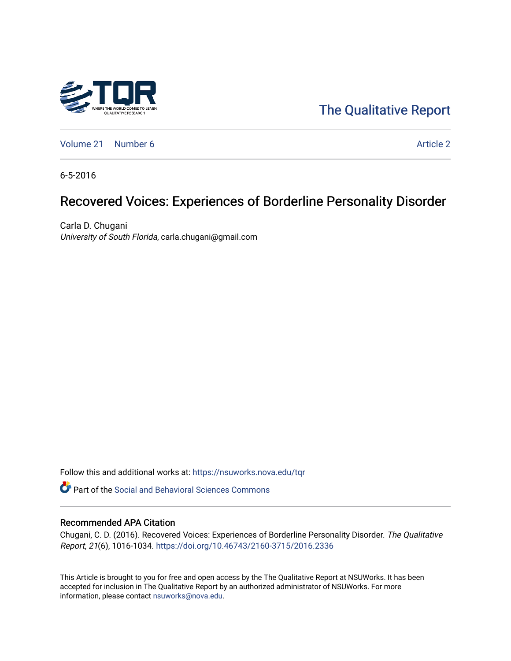

# [The Qualitative Report](https://nsuworks.nova.edu/tqr)

[Volume 21](https://nsuworks.nova.edu/tqr/vol21) [Number 6](https://nsuworks.nova.edu/tqr/vol21/iss6) Article 2

6-5-2016

# Recovered Voices: Experiences of Borderline Personality Disorder

Carla D. Chugani University of South Florida, carla.chugani@gmail.com

Follow this and additional works at: [https://nsuworks.nova.edu/tqr](https://nsuworks.nova.edu/tqr?utm_source=nsuworks.nova.edu%2Ftqr%2Fvol21%2Fiss6%2F2&utm_medium=PDF&utm_campaign=PDFCoverPages) 

Part of the [Social and Behavioral Sciences Commons](http://network.bepress.com/hgg/discipline/316?utm_source=nsuworks.nova.edu%2Ftqr%2Fvol21%2Fiss6%2F2&utm_medium=PDF&utm_campaign=PDFCoverPages) 

#### Recommended APA Citation

Chugani, C. D. (2016). Recovered Voices: Experiences of Borderline Personality Disorder. The Qualitative Report, 21(6), 1016-1034. <https://doi.org/10.46743/2160-3715/2016.2336>

This Article is brought to you for free and open access by the The Qualitative Report at NSUWorks. It has been accepted for inclusion in The Qualitative Report by an authorized administrator of NSUWorks. For more information, please contact [nsuworks@nova.edu.](mailto:nsuworks@nova.edu)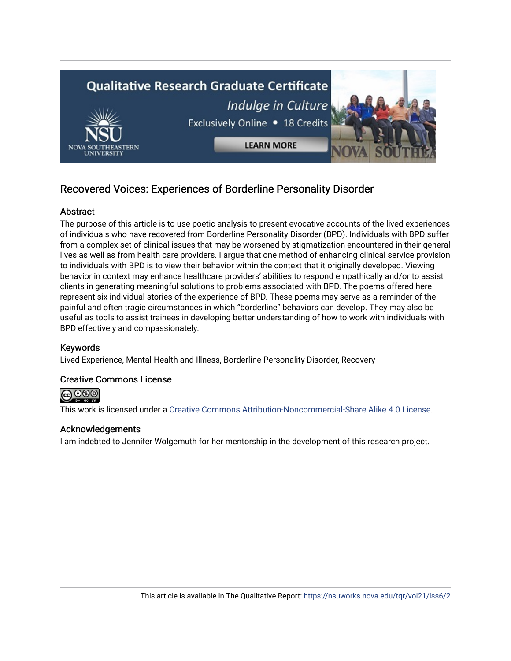

# Recovered Voices: Experiences of Borderline Personality Disorder

# **Abstract**

The purpose of this article is to use poetic analysis to present evocative accounts of the lived experiences of individuals who have recovered from Borderline Personality Disorder (BPD). Individuals with BPD suffer from a complex set of clinical issues that may be worsened by stigmatization encountered in their general lives as well as from health care providers. I argue that one method of enhancing clinical service provision to individuals with BPD is to view their behavior within the context that it originally developed. Viewing behavior in context may enhance healthcare providers' abilities to respond empathically and/or to assist clients in generating meaningful solutions to problems associated with BPD. The poems offered here represent six individual stories of the experience of BPD. These poems may serve as a reminder of the painful and often tragic circumstances in which "borderline" behaviors can develop. They may also be useful as tools to assist trainees in developing better understanding of how to work with individuals with BPD effectively and compassionately.

# Keywords

Lived Experience, Mental Health and Illness, Borderline Personality Disorder, Recovery

# Creative Commons License



This work is licensed under a [Creative Commons Attribution-Noncommercial-Share Alike 4.0 License](https://creativecommons.org/licenses/by-nc-sa/4.0/).

# Acknowledgements

I am indebted to Jennifer Wolgemuth for her mentorship in the development of this research project.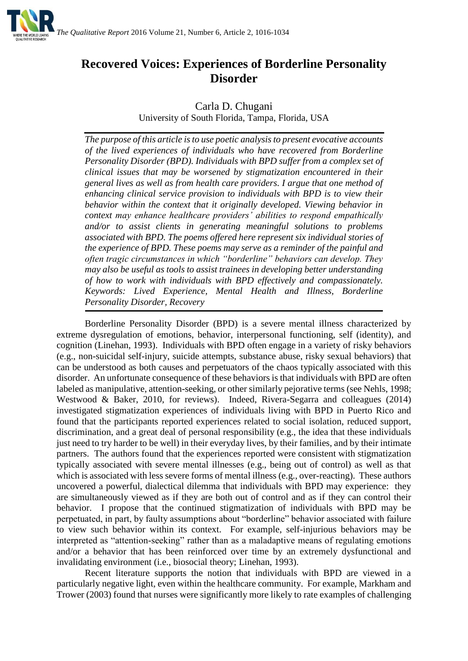

# **Recovered Voices: Experiences of Borderline Personality Disorder**

Carla D. Chugani

University of South Florida, Tampa, Florida, USA

*The purpose of this article is to use poetic analysis to present evocative accounts of the lived experiences of individuals who have recovered from Borderline Personality Disorder (BPD). Individuals with BPD suffer from a complex set of clinical issues that may be worsened by stigmatization encountered in their general lives as well as from health care providers. I argue that one method of enhancing clinical service provision to individuals with BPD is to view their behavior within the context that it originally developed. Viewing behavior in context may enhance healthcare providers' abilities to respond empathically and/or to assist clients in generating meaningful solutions to problems associated with BPD. The poems offered here represent six individual stories of the experience of BPD. These poems may serve as a reminder of the painful and often tragic circumstances in which "borderline" behaviors can develop. They may also be useful as tools to assist trainees in developing better understanding of how to work with individuals with BPD effectively and compassionately. Keywords: Lived Experience, Mental Health and Illness, Borderline Personality Disorder, Recovery*

Borderline Personality Disorder (BPD) is a severe mental illness characterized by extreme dysregulation of emotions, behavior, interpersonal functioning, self (identity), and cognition (Linehan, 1993). Individuals with BPD often engage in a variety of risky behaviors (e.g., non-suicidal self-injury, suicide attempts, substance abuse, risky sexual behaviors) that can be understood as both causes and perpetuators of the chaos typically associated with this disorder. An unfortunate consequence of these behaviors is that individuals with BPD are often labeled as manipulative, attention-seeking, or other similarly pejorative terms (see Nehls, 1998; Westwood & Baker, 2010, for reviews). Indeed, Rivera-Segarra and colleagues (2014) investigated stigmatization experiences of individuals living with BPD in Puerto Rico and found that the participants reported experiences related to social isolation, reduced support, discrimination, and a great deal of personal responsibility (e.g., the idea that these individuals just need to try harder to be well) in their everyday lives, by their families, and by their intimate partners. The authors found that the experiences reported were consistent with stigmatization typically associated with severe mental illnesses (e.g., being out of control) as well as that which is associated with less severe forms of mental illness (e.g., over-reacting). These authors uncovered a powerful, dialectical dilemma that individuals with BPD may experience: they are simultaneously viewed as if they are both out of control and as if they can control their behavior. I propose that the continued stigmatization of individuals with BPD may be perpetuated, in part, by faulty assumptions about "borderline" behavior associated with failure to view such behavior within its context. For example, self-injurious behaviors may be interpreted as "attention-seeking" rather than as a maladaptive means of regulating emotions and/or a behavior that has been reinforced over time by an extremely dysfunctional and invalidating environment (i.e., biosocial theory; Linehan, 1993).

Recent literature supports the notion that individuals with BPD are viewed in a particularly negative light, even within the healthcare community. For example, Markham and Trower (2003) found that nurses were significantly more likely to rate examples of challenging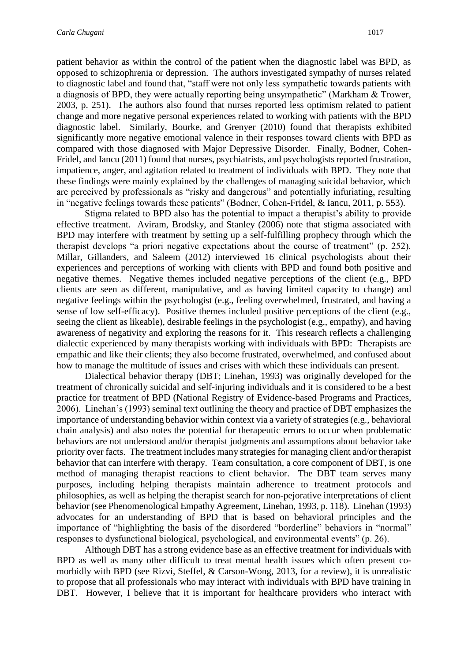patient behavior as within the control of the patient when the diagnostic label was BPD, as opposed to schizophrenia or depression. The authors investigated sympathy of nurses related to diagnostic label and found that, "staff were not only less sympathetic towards patients with a diagnosis of BPD, they were actually reporting being unsympathetic" (Markham & Trower, 2003, p. 251). The authors also found that nurses reported less optimism related to patient change and more negative personal experiences related to working with patients with the BPD diagnostic label. Similarly, Bourke, and Grenyer (2010) found that therapists exhibited significantly more negative emotional valence in their responses toward clients with BPD as compared with those diagnosed with Major Depressive Disorder. Finally, Bodner, Cohen-Fridel, and Iancu (2011) found that nurses, psychiatrists, and psychologists reported frustration, impatience, anger, and agitation related to treatment of individuals with BPD. They note that these findings were mainly explained by the challenges of managing suicidal behavior, which are perceived by professionals as "risky and dangerous" and potentially infuriating, resulting in "negative feelings towards these patients" (Bodner, Cohen-Fridel, & Iancu, 2011, p. 553).

Stigma related to BPD also has the potential to impact a therapist's ability to provide effective treatment. Aviram, Brodsky, and Stanley (2006) note that stigma associated with BPD may interfere with treatment by setting up a self-fulfilling prophecy through which the therapist develops "a priori negative expectations about the course of treatment" (p. 252). Millar, Gillanders, and Saleem (2012) interviewed 16 clinical psychologists about their experiences and perceptions of working with clients with BPD and found both positive and negative themes. Negative themes included negative perceptions of the client (e.g., BPD clients are seen as different, manipulative, and as having limited capacity to change) and negative feelings within the psychologist (e.g., feeling overwhelmed, frustrated, and having a sense of low self-efficacy). Positive themes included positive perceptions of the client (e.g., seeing the client as likeable), desirable feelings in the psychologist (e.g., empathy), and having awareness of negativity and exploring the reasons for it. This research reflects a challenging dialectic experienced by many therapists working with individuals with BPD: Therapists are empathic and like their clients; they also become frustrated, overwhelmed, and confused about how to manage the multitude of issues and crises with which these individuals can present.

Dialectical behavior therapy (DBT; Linehan, 1993) was originally developed for the treatment of chronically suicidal and self-injuring individuals and it is considered to be a best practice for treatment of BPD (National Registry of Evidence-based Programs and Practices, 2006). Linehan's (1993) seminal text outlining the theory and practice of DBT emphasizes the importance of understanding behavior within context via a variety of strategies (e.g., behavioral chain analysis) and also notes the potential for therapeutic errors to occur when problematic behaviors are not understood and/or therapist judgments and assumptions about behavior take priority over facts. The treatment includes many strategies for managing client and/or therapist behavior that can interfere with therapy. Team consultation, a core component of DBT, is one method of managing therapist reactions to client behavior. The DBT team serves many purposes, including helping therapists maintain adherence to treatment protocols and philosophies, as well as helping the therapist search for non-pejorative interpretations of client behavior (see Phenomenological Empathy Agreement, Linehan, 1993, p. 118). Linehan (1993) advocates for an understanding of BPD that is based on behavioral principles and the importance of "highlighting the basis of the disordered "borderline" behaviors in "normal" responses to dysfunctional biological, psychological, and environmental events" (p. 26).

Although DBT has a strong evidence base as an effective treatment for individuals with BPD as well as many other difficult to treat mental health issues which often present comorbidly with BPD (see Rizvi, Steffel, & Carson-Wong, 2013, for a review), it is unrealistic to propose that all professionals who may interact with individuals with BPD have training in DBT. However, I believe that it is important for healthcare providers who interact with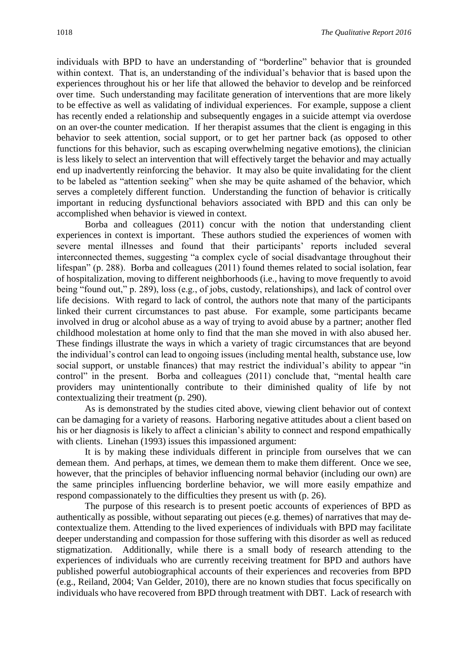individuals with BPD to have an understanding of "borderline" behavior that is grounded within context. That is, an understanding of the individual's behavior that is based upon the experiences throughout his or her life that allowed the behavior to develop and be reinforced over time. Such understanding may facilitate generation of interventions that are more likely to be effective as well as validating of individual experiences. For example, suppose a client has recently ended a relationship and subsequently engages in a suicide attempt via overdose on an over-the counter medication. If her therapist assumes that the client is engaging in this behavior to seek attention, social support, or to get her partner back (as opposed to other functions for this behavior, such as escaping overwhelming negative emotions), the clinician is less likely to select an intervention that will effectively target the behavior and may actually end up inadvertently reinforcing the behavior. It may also be quite invalidating for the client to be labeled as "attention seeking" when she may be quite ashamed of the behavior, which serves a completely different function. Understanding the function of behavior is critically important in reducing dysfunctional behaviors associated with BPD and this can only be accomplished when behavior is viewed in context.

Borba and colleagues (2011) concur with the notion that understanding client experiences in context is important. These authors studied the experiences of women with severe mental illnesses and found that their participants' reports included several interconnected themes, suggesting "a complex cycle of social disadvantage throughout their lifespan" (p. 288). Borba and colleagues (2011) found themes related to social isolation, fear of hospitalization, moving to different neighborhoods (i.e., having to move frequently to avoid being "found out," p. 289), loss (e.g., of jobs, custody, relationships), and lack of control over life decisions. With regard to lack of control, the authors note that many of the participants linked their current circumstances to past abuse. For example, some participants became involved in drug or alcohol abuse as a way of trying to avoid abuse by a partner; another fled childhood molestation at home only to find that the man she moved in with also abused her. These findings illustrate the ways in which a variety of tragic circumstances that are beyond the individual's control can lead to ongoing issues (including mental health, substance use, low social support, or unstable finances) that may restrict the individual's ability to appear "in control" in the present. Borba and colleagues (2011) conclude that, "mental health care providers may unintentionally contribute to their diminished quality of life by not contextualizing their treatment (p. 290).

As is demonstrated by the studies cited above, viewing client behavior out of context can be damaging for a variety of reasons. Harboring negative attitudes about a client based on his or her diagnosis is likely to affect a clinician's ability to connect and respond empathically with clients. Linehan (1993) issues this impassioned argument:

It is by making these individuals different in principle from ourselves that we can demean them. And perhaps, at times, we demean them to make them different. Once we see, however, that the principles of behavior influencing normal behavior (including our own) are the same principles influencing borderline behavior, we will more easily empathize and respond compassionately to the difficulties they present us with (p. 26).

The purpose of this research is to present poetic accounts of experiences of BPD as authentically as possible, without separating out pieces (e.g. themes) of narratives that may decontextualize them. Attending to the lived experiences of individuals with BPD may facilitate deeper understanding and compassion for those suffering with this disorder as well as reduced stigmatization. Additionally, while there is a small body of research attending to the experiences of individuals who are currently receiving treatment for BPD and authors have published powerful autobiographical accounts of their experiences and recoveries from BPD (e.g., Reiland, 2004; Van Gelder, 2010), there are no known studies that focus specifically on individuals who have recovered from BPD through treatment with DBT. Lack of research with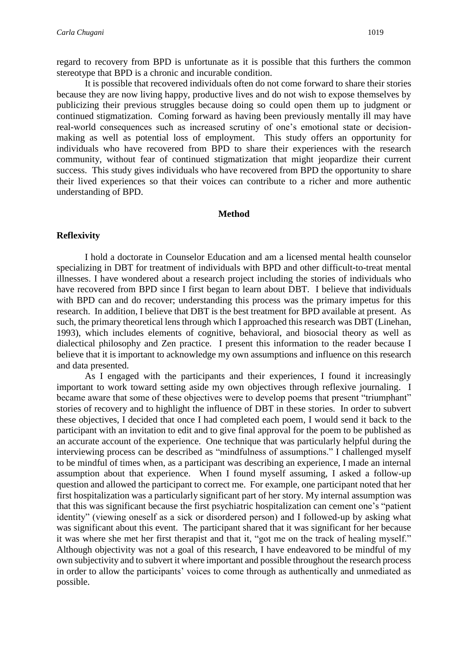regard to recovery from BPD is unfortunate as it is possible that this furthers the common stereotype that BPD is a chronic and incurable condition.

It is possible that recovered individuals often do not come forward to share their stories because they are now living happy, productive lives and do not wish to expose themselves by publicizing their previous struggles because doing so could open them up to judgment or continued stigmatization. Coming forward as having been previously mentally ill may have real-world consequences such as increased scrutiny of one's emotional state or decisionmaking as well as potential loss of employment. This study offers an opportunity for individuals who have recovered from BPD to share their experiences with the research community, without fear of continued stigmatization that might jeopardize their current success. This study gives individuals who have recovered from BPD the opportunity to share their lived experiences so that their voices can contribute to a richer and more authentic understanding of BPD.

#### **Method**

#### **Reflexivity**

I hold a doctorate in Counselor Education and am a licensed mental health counselor specializing in DBT for treatment of individuals with BPD and other difficult-to-treat mental illnesses. I have wondered about a research project including the stories of individuals who have recovered from BPD since I first began to learn about DBT. I believe that individuals with BPD can and do recover; understanding this process was the primary impetus for this research. In addition, I believe that DBT is the best treatment for BPD available at present. As such, the primary theoretical lens through which I approached this research was DBT (Linehan, 1993), which includes elements of cognitive, behavioral, and biosocial theory as well as dialectical philosophy and Zen practice. I present this information to the reader because I believe that it is important to acknowledge my own assumptions and influence on this research and data presented.

As I engaged with the participants and their experiences, I found it increasingly important to work toward setting aside my own objectives through reflexive journaling. I became aware that some of these objectives were to develop poems that present "triumphant" stories of recovery and to highlight the influence of DBT in these stories. In order to subvert these objectives, I decided that once I had completed each poem, I would send it back to the participant with an invitation to edit and to give final approval for the poem to be published as an accurate account of the experience. One technique that was particularly helpful during the interviewing process can be described as "mindfulness of assumptions." I challenged myself to be mindful of times when, as a participant was describing an experience, I made an internal assumption about that experience. When I found myself assuming, I asked a follow-up question and allowed the participant to correct me. For example, one participant noted that her first hospitalization was a particularly significant part of her story. My internal assumption was that this was significant because the first psychiatric hospitalization can cement one's "patient identity" (viewing oneself as a sick or disordered person) and I followed-up by asking what was significant about this event. The participant shared that it was significant for her because it was where she met her first therapist and that it, "got me on the track of healing myself." Although objectivity was not a goal of this research, I have endeavored to be mindful of my own subjectivity and to subvert it where important and possible throughout the research process in order to allow the participants' voices to come through as authentically and unmediated as possible.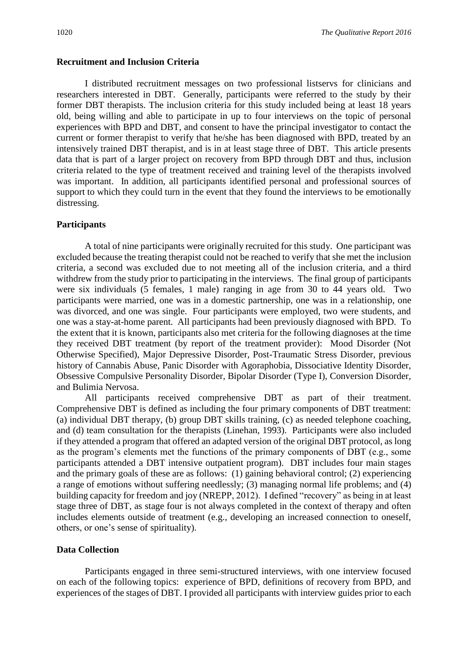#### **Recruitment and Inclusion Criteria**

I distributed recruitment messages on two professional listservs for clinicians and researchers interested in DBT. Generally, participants were referred to the study by their former DBT therapists. The inclusion criteria for this study included being at least 18 years old, being willing and able to participate in up to four interviews on the topic of personal experiences with BPD and DBT, and consent to have the principal investigator to contact the current or former therapist to verify that he/she has been diagnosed with BPD, treated by an intensively trained DBT therapist, and is in at least stage three of DBT. This article presents data that is part of a larger project on recovery from BPD through DBT and thus, inclusion criteria related to the type of treatment received and training level of the therapists involved was important. In addition, all participants identified personal and professional sources of support to which they could turn in the event that they found the interviews to be emotionally distressing.

# **Participants**

A total of nine participants were originally recruited for this study. One participant was excluded because the treating therapist could not be reached to verify that she met the inclusion criteria, a second was excluded due to not meeting all of the inclusion criteria, and a third withdrew from the study prior to participating in the interviews. The final group of participants were six individuals (5 females, 1 male) ranging in age from 30 to 44 years old. Two participants were married, one was in a domestic partnership, one was in a relationship, one was divorced, and one was single. Four participants were employed, two were students, and one was a stay-at-home parent. All participants had been previously diagnosed with BPD. To the extent that it is known, participants also met criteria for the following diagnoses at the time they received DBT treatment (by report of the treatment provider): Mood Disorder (Not Otherwise Specified), Major Depressive Disorder, Post-Traumatic Stress Disorder, previous history of Cannabis Abuse, Panic Disorder with Agoraphobia, Dissociative Identity Disorder, Obsessive Compulsive Personality Disorder, Bipolar Disorder (Type I), Conversion Disorder, and Bulimia Nervosa.

All participants received comprehensive DBT as part of their treatment. Comprehensive DBT is defined as including the four primary components of DBT treatment: (a) individual DBT therapy, (b) group DBT skills training, (c) as needed telephone coaching, and (d) team consultation for the therapists (Linehan, 1993). Participants were also included if they attended a program that offered an adapted version of the original DBT protocol, as long as the program's elements met the functions of the primary components of DBT (e.g., some participants attended a DBT intensive outpatient program). DBT includes four main stages and the primary goals of these are as follows: (1) gaining behavioral control; (2) experiencing a range of emotions without suffering needlessly; (3) managing normal life problems; and (4) building capacity for freedom and joy (NREPP, 2012). I defined "recovery" as being in at least stage three of DBT, as stage four is not always completed in the context of therapy and often includes elements outside of treatment (e.g., developing an increased connection to oneself, others, or one's sense of spirituality).

# **Data Collection**

Participants engaged in three semi-structured interviews, with one interview focused on each of the following topics: experience of BPD, definitions of recovery from BPD, and experiences of the stages of DBT. I provided all participants with interview guides prior to each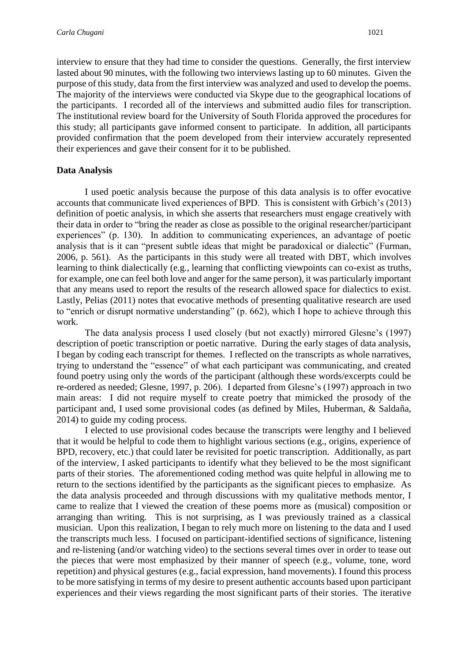interview to ensure that they had time to consider the questions. Generally, the first interview lasted about 90 minutes, with the following two interviews lasting up to 60 minutes. Given the

purpose of this study, data from the first interview was analyzed and used to develop the poems. The majority of the interviews were conducted via Skype due to the geographical locations of the participants. I recorded all of the interviews and submitted audio files for transcription. The institutional review board for the University of South Florida approved the procedures for this study; all participants gave informed consent to participate. In addition, all participants provided confirmation that the poem developed from their interview accurately represented their experiences and gave their consent for it to be published.

# **Data Analysis**

I used poetic analysis because the purpose of this data analysis is to offer evocative accounts that communicate lived experiences of BPD. This is consistent with Grbich's (2013) definition of poetic analysis, in which she asserts that researchers must engage creatively with their data in order to "bring the reader as close as possible to the original researcher/participant experiences" (p. 130). In addition to communicating experiences, an advantage of poetic analysis that is it can "present subtle ideas that might be paradoxical or dialectic" (Furman, 2006, p. 561). As the participants in this study were all treated with DBT, which involves learning to think dialectically (e.g., learning that conflicting viewpoints can co-exist as truths, for example, one can feel both love and anger for the same person), it was particularly important that any means used to report the results of the research allowed space for dialectics to exist. Lastly, Pelias (2011) notes that evocative methods of presenting qualitative research are used to "enrich or disrupt normative understanding" (p. 662), which I hope to achieve through this work.

The data analysis process I used closely (but not exactly) mirrored Glesne's (1997) description of poetic transcription or poetic narrative. During the early stages of data analysis, I began by coding each transcript for themes. I reflected on the transcripts as whole narratives, trying to understand the "essence" of what each participant was communicating, and created found poetry using only the words of the participant (although these words/excerpts could be re-ordered as needed; Glesne, 1997, p. 206). I departed from Glesne's (1997) approach in two main areas: I did not require myself to create poetry that mimicked the prosody of the participant and, I used some provisional codes (as defined by Miles, Huberman, & Saldaña, 2014) to guide my coding process.

I elected to use provisional codes because the transcripts were lengthy and I believed that it would be helpful to code them to highlight various sections (e.g., origins, experience of BPD, recovery, etc.) that could later be revisited for poetic transcription. Additionally, as part of the interview, I asked participants to identify what they believed to be the most significant parts of their stories. The aforementioned coding method was quite helpful in allowing me to return to the sections identified by the participants as the significant pieces to emphasize. As the data analysis proceeded and through discussions with my qualitative methods mentor, I came to realize that I viewed the creation of these poems more as (musical) composition or arranging than writing. This is not surprising, as I was previously trained as a classical musician. Upon this realization, I began to rely much more on listening to the data and I used the transcripts much less. I focused on participant-identified sections of significance, listening and re-listening (and/or watching video) to the sections several times over in order to tease out the pieces that were most emphasized by their manner of speech (e.g., volume, tone, word repetition) and physical gestures (e.g., facial expression, hand movements). I found this process to be more satisfying in terms of my desire to present authentic accounts based upon participant experiences and their views regarding the most significant parts of their stories. The iterative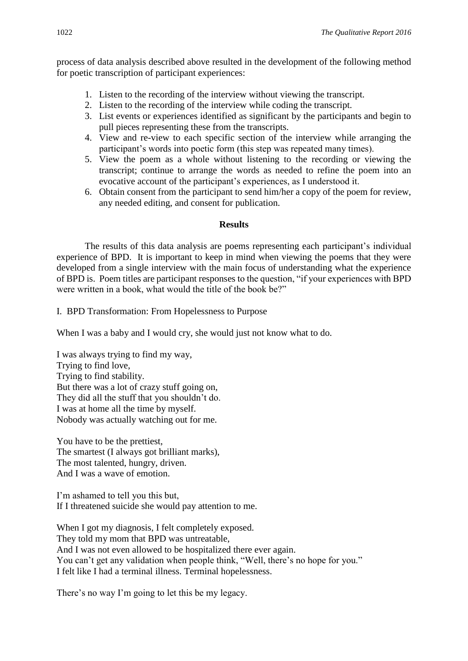process of data analysis described above resulted in the development of the following method for poetic transcription of participant experiences:

- 1. Listen to the recording of the interview without viewing the transcript.
- 2. Listen to the recording of the interview while coding the transcript.
- 3. List events or experiences identified as significant by the participants and begin to pull pieces representing these from the transcripts.
- 4. View and re-view to each specific section of the interview while arranging the participant's words into poetic form (this step was repeated many times).
- 5. View the poem as a whole without listening to the recording or viewing the transcript; continue to arrange the words as needed to refine the poem into an evocative account of the participant's experiences, as I understood it.
- 6. Obtain consent from the participant to send him/her a copy of the poem for review, any needed editing, and consent for publication.

#### **Results**

The results of this data analysis are poems representing each participant's individual experience of BPD. It is important to keep in mind when viewing the poems that they were developed from a single interview with the main focus of understanding what the experience of BPD is. Poem titles are participant responses to the question, "if your experiences with BPD were written in a book, what would the title of the book be?"

I. BPD Transformation: From Hopelessness to Purpose

When I was a baby and I would cry, she would just not know what to do.

I was always trying to find my way, Trying to find love, Trying to find stability. But there was a lot of crazy stuff going on, They did all the stuff that you shouldn't do. I was at home all the time by myself. Nobody was actually watching out for me.

You have to be the prettiest, The smartest (I always got brilliant marks), The most talented, hungry, driven. And I was a wave of emotion.

I'm ashamed to tell you this but, If I threatened suicide she would pay attention to me.

When I got my diagnosis, I felt completely exposed. They told my mom that BPD was untreatable, And I was not even allowed to be hospitalized there ever again. You can't get any validation when people think, "Well, there's no hope for you." I felt like I had a terminal illness. Terminal hopelessness.

There's no way I'm going to let this be my legacy.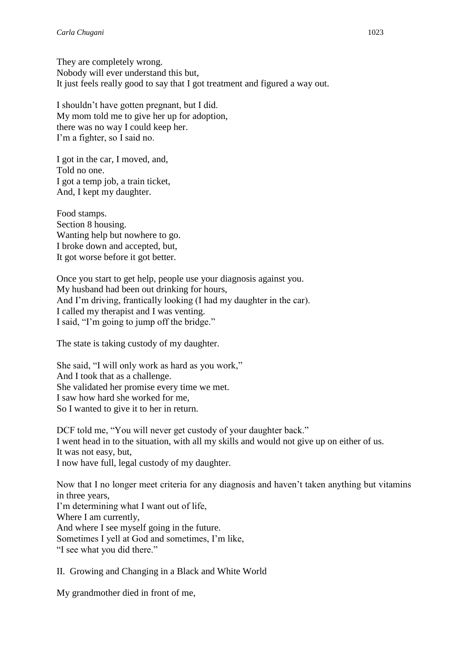They are completely wrong. Nobody will ever understand this but, It just feels really good to say that I got treatment and figured a way out.

I shouldn't have gotten pregnant, but I did. My mom told me to give her up for adoption, there was no way I could keep her. I'm a fighter, so I said no.

I got in the car, I moved, and, Told no one. I got a temp job, a train ticket, And, I kept my daughter.

Food stamps. Section 8 housing. Wanting help but nowhere to go. I broke down and accepted, but, It got worse before it got better.

Once you start to get help, people use your diagnosis against you. My husband had been out drinking for hours, And I'm driving, frantically looking (I had my daughter in the car). I called my therapist and I was venting. I said, "I'm going to jump off the bridge."

The state is taking custody of my daughter.

She said, "I will only work as hard as you work," And I took that as a challenge. She validated her promise every time we met. I saw how hard she worked for me, So I wanted to give it to her in return.

DCF told me, "You will never get custody of your daughter back." I went head in to the situation, with all my skills and would not give up on either of us. It was not easy, but, I now have full, legal custody of my daughter.

Now that I no longer meet criteria for any diagnosis and haven't taken anything but vitamins in three years, I'm determining what I want out of life, Where I am currently, And where I see myself going in the future. Sometimes I yell at God and sometimes, I'm like, "I see what you did there."

II. Growing and Changing in a Black and White World

My grandmother died in front of me,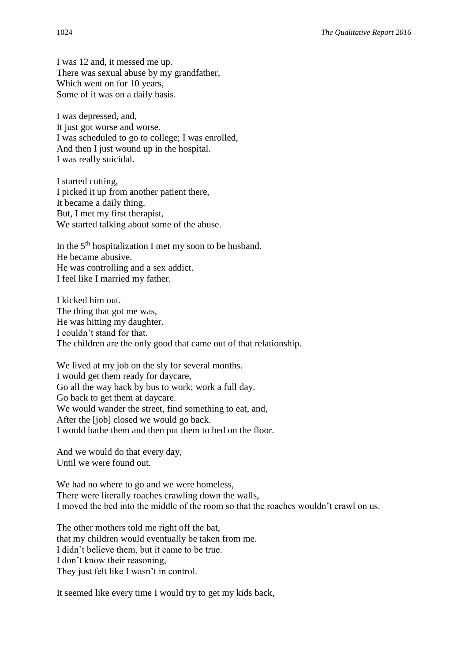I was 12 and, it messed me up. There was sexual abuse by my grandfather, Which went on for 10 years. Some of it was on a daily basis.

I was depressed, and, It just got worse and worse. I was scheduled to go to college; I was enrolled, And then I just wound up in the hospital. I was really suicidal.

I started cutting, I picked it up from another patient there, It became a daily thing. But, I met my first therapist, We started talking about some of the abuse.

In the 5<sup>th</sup> hospitalization I met my soon to be husband. He became abusive. He was controlling and a sex addict. I feel like I married my father.

I kicked him out. The thing that got me was, He was hitting my daughter. I couldn't stand for that. The children are the only good that came out of that relationship.

We lived at my job on the sly for several months. I would get them ready for daycare, Go all the way back by bus to work; work a full day. Go back to get them at daycare. We would wander the street, find something to eat, and, After the [job] closed we would go back. I would bathe them and then put them to bed on the floor.

And we would do that every day, Until we were found out.

We had no where to go and we were homeless, There were literally roaches crawling down the walls, I moved the bed into the middle of the room so that the roaches wouldn't crawl on us.

The other mothers told me right off the bat, that my children would eventually be taken from me. I didn't believe them, but it came to be true. I don't know their reasoning, They just felt like I wasn't in control.

It seemed like every time I would try to get my kids back,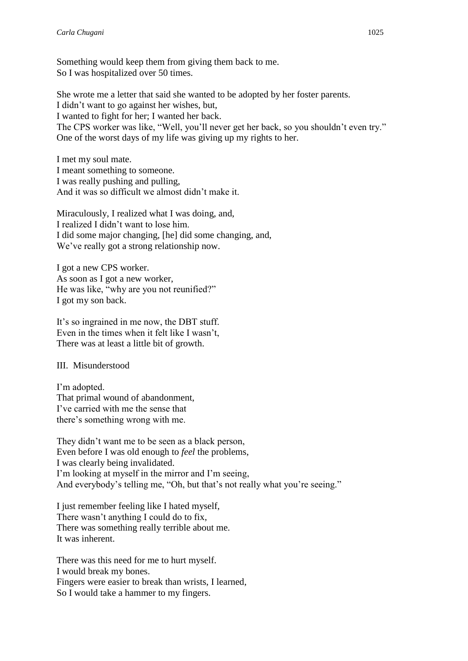Something would keep them from giving them back to me. So I was hospitalized over 50 times.

She wrote me a letter that said she wanted to be adopted by her foster parents. I didn't want to go against her wishes, but, I wanted to fight for her; I wanted her back. The CPS worker was like, "Well, you'll never get her back, so you shouldn't even try." One of the worst days of my life was giving up my rights to her.

I met my soul mate. I meant something to someone. I was really pushing and pulling, And it was so difficult we almost didn't make it.

Miraculously, I realized what I was doing, and, I realized I didn't want to lose him. I did some major changing, [he] did some changing, and, We've really got a strong relationship now.

I got a new CPS worker. As soon as I got a new worker, He was like, "why are you not reunified?" I got my son back.

It's so ingrained in me now, the DBT stuff. Even in the times when it felt like I wasn't, There was at least a little bit of growth.

# III. Misunderstood

I'm adopted. That primal wound of abandonment, I've carried with me the sense that there's something wrong with me.

They didn't want me to be seen as a black person, Even before I was old enough to *feel* the problems, I was clearly being invalidated. I'm looking at myself in the mirror and I'm seeing, And everybody's telling me, "Oh, but that's not really what you're seeing."

I just remember feeling like I hated myself, There wasn't anything I could do to fix, There was something really terrible about me. It was inherent.

There was this need for me to hurt myself. I would break my bones. Fingers were easier to break than wrists, I learned, So I would take a hammer to my fingers.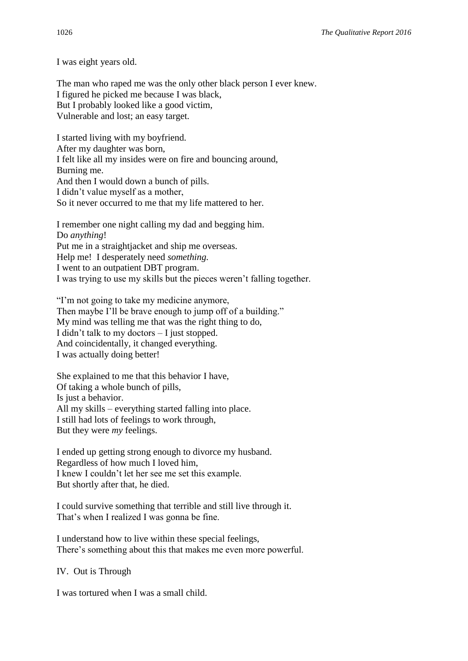I was eight years old.

The man who raped me was the only other black person I ever knew. I figured he picked me because I was black, But I probably looked like a good victim, Vulnerable and lost; an easy target.

I started living with my boyfriend. After my daughter was born, I felt like all my insides were on fire and bouncing around, Burning me. And then I would down a bunch of pills. I didn't value myself as a mother, So it never occurred to me that my life mattered to her.

I remember one night calling my dad and begging him. Do *anything*! Put me in a straightjacket and ship me overseas. Help me! I desperately need *something.* I went to an outpatient DBT program. I was trying to use my skills but the pieces weren't falling together.

"I'm not going to take my medicine anymore, Then maybe I'll be brave enough to jump off of a building." My mind was telling me that was the right thing to do, I didn't talk to my doctors – I just stopped. And coincidentally, it changed everything. I was actually doing better!

She explained to me that this behavior I have, Of taking a whole bunch of pills, Is just a behavior. All my skills – everything started falling into place. I still had lots of feelings to work through, But they were *my* feelings.

I ended up getting strong enough to divorce my husband. Regardless of how much I loved him, I knew I couldn't let her see me set this example. But shortly after that, he died.

I could survive something that terrible and still live through it. That's when I realized I was gonna be fine.

I understand how to live within these special feelings, There's something about this that makes me even more powerful.

IV. Out is Through

I was tortured when I was a small child.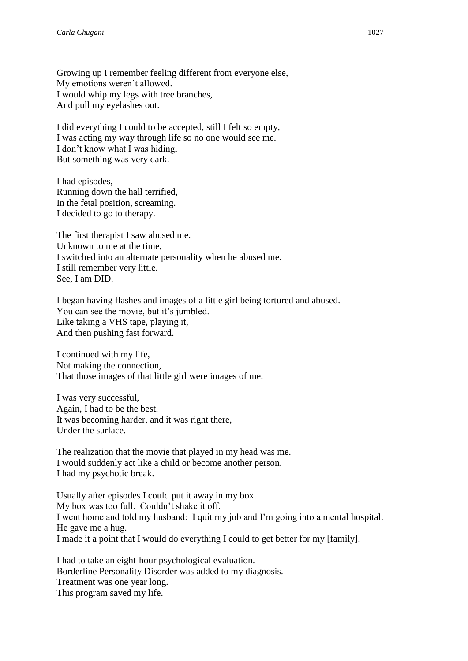Growing up I remember feeling different from everyone else, My emotions weren't allowed. I would whip my legs with tree branches, And pull my eyelashes out.

I did everything I could to be accepted, still I felt so empty, I was acting my way through life so no one would see me. I don't know what I was hiding, But something was very dark.

I had episodes, Running down the hall terrified, In the fetal position, screaming. I decided to go to therapy.

The first therapist I saw abused me. Unknown to me at the time, I switched into an alternate personality when he abused me. I still remember very little. See, I am DID.

I began having flashes and images of a little girl being tortured and abused. You can see the movie, but it's jumbled. Like taking a VHS tape, playing it, And then pushing fast forward.

I continued with my life, Not making the connection, That those images of that little girl were images of me.

I was very successful, Again, I had to be the best. It was becoming harder, and it was right there, Under the surface.

The realization that the movie that played in my head was me. I would suddenly act like a child or become another person. I had my psychotic break.

Usually after episodes I could put it away in my box. My box was too full. Couldn't shake it off. I went home and told my husband: I quit my job and I'm going into a mental hospital. He gave me a hug. I made it a point that I would do everything I could to get better for my [family].

I had to take an eight-hour psychological evaluation. Borderline Personality Disorder was added to my diagnosis. Treatment was one year long. This program saved my life.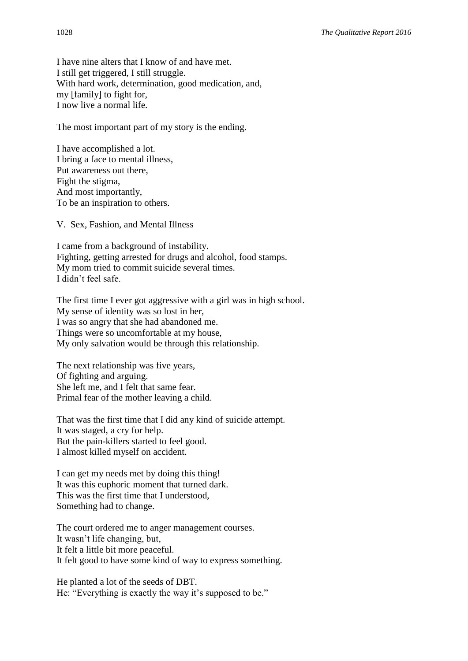I have nine alters that I know of and have met. I still get triggered, I still struggle. With hard work, determination, good medication, and, my [family] to fight for, I now live a normal life.

The most important part of my story is the ending.

I have accomplished a lot. I bring a face to mental illness, Put awareness out there, Fight the stigma, And most importantly, To be an inspiration to others.

V. Sex, Fashion, and Mental Illness

I came from a background of instability. Fighting, getting arrested for drugs and alcohol, food stamps. My mom tried to commit suicide several times. I didn't feel safe.

The first time I ever got aggressive with a girl was in high school. My sense of identity was so lost in her, I was so angry that she had abandoned me. Things were so uncomfortable at my house, My only salvation would be through this relationship.

The next relationship was five years, Of fighting and arguing. She left me, and I felt that same fear. Primal fear of the mother leaving a child.

That was the first time that I did any kind of suicide attempt. It was staged, a cry for help. But the pain-killers started to feel good. I almost killed myself on accident.

I can get my needs met by doing this thing! It was this euphoric moment that turned dark. This was the first time that I understood, Something had to change.

The court ordered me to anger management courses. It wasn't life changing, but, It felt a little bit more peaceful. It felt good to have some kind of way to express something.

He planted a lot of the seeds of DBT. He: "Everything is exactly the way it's supposed to be."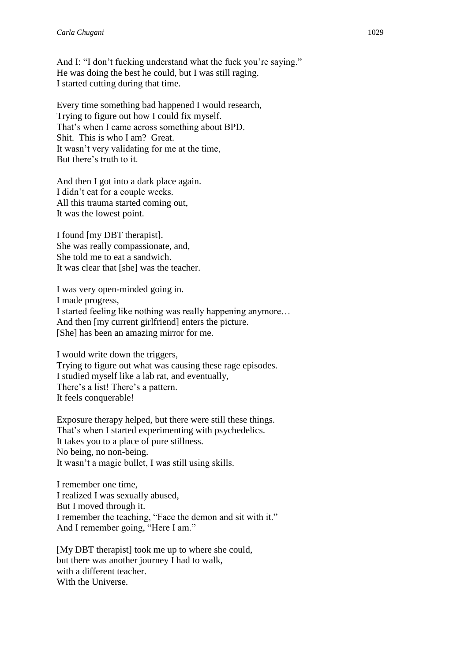And I: "I don't fucking understand what the fuck you're saying." He was doing the best he could, but I was still raging. I started cutting during that time.

Every time something bad happened I would research, Trying to figure out how I could fix myself. That's when I came across something about BPD. Shit. This is who I am? Great. It wasn't very validating for me at the time, But there's truth to it.

And then I got into a dark place again. I didn't eat for a couple weeks. All this trauma started coming out, It was the lowest point.

I found [my DBT therapist]. She was really compassionate, and, She told me to eat a sandwich. It was clear that [she] was the teacher.

I was very open-minded going in. I made progress, I started feeling like nothing was really happening anymore… And then [my current girlfriend] enters the picture. [She] has been an amazing mirror for me.

I would write down the triggers, Trying to figure out what was causing these rage episodes. I studied myself like a lab rat, and eventually, There's a list! There's a pattern. It feels conquerable!

Exposure therapy helped, but there were still these things. That's when I started experimenting with psychedelics. It takes you to a place of pure stillness. No being, no non-being. It wasn't a magic bullet, I was still using skills.

I remember one time, I realized I was sexually abused, But I moved through it. I remember the teaching, "Face the demon and sit with it." And I remember going, "Here I am."

[My DBT therapist] took me up to where she could, but there was another journey I had to walk, with a different teacher. With the Universe.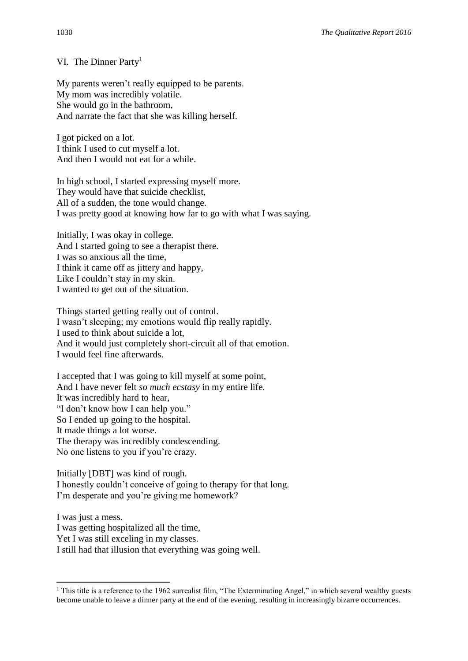VI. The Dinner Party<sup>1</sup>

My parents weren't really equipped to be parents. My mom was incredibly volatile. She would go in the bathroom, And narrate the fact that she was killing herself.

I got picked on a lot. I think I used to cut myself a lot. And then I would not eat for a while.

In high school, I started expressing myself more. They would have that suicide checklist, All of a sudden, the tone would change. I was pretty good at knowing how far to go with what I was saying.

Initially, I was okay in college. And I started going to see a therapist there. I was so anxious all the time, I think it came off as jittery and happy, Like I couldn't stay in my skin. I wanted to get out of the situation.

Things started getting really out of control. I wasn't sleeping; my emotions would flip really rapidly. I used to think about suicide a lot, And it would just completely short-circuit all of that emotion. I would feel fine afterwards.

I accepted that I was going to kill myself at some point, And I have never felt *so much ecstasy* in my entire life. It was incredibly hard to hear, "I don't know how I can help you." So I ended up going to the hospital. It made things a lot worse. The therapy was incredibly condescending. No one listens to you if you're crazy.

Initially [DBT] was kind of rough. I honestly couldn't conceive of going to therapy for that long. I'm desperate and you're giving me homework?

I was just a mess. I was getting hospitalized all the time, Yet I was still exceling in my classes.

I still had that illusion that everything was going well.

**.** 

<sup>&</sup>lt;sup>1</sup> This title is a reference to the 1962 surrealist film, "The Exterminating Angel," in which several wealthy guests become unable to leave a dinner party at the end of the evening, resulting in increasingly bizarre occurrences.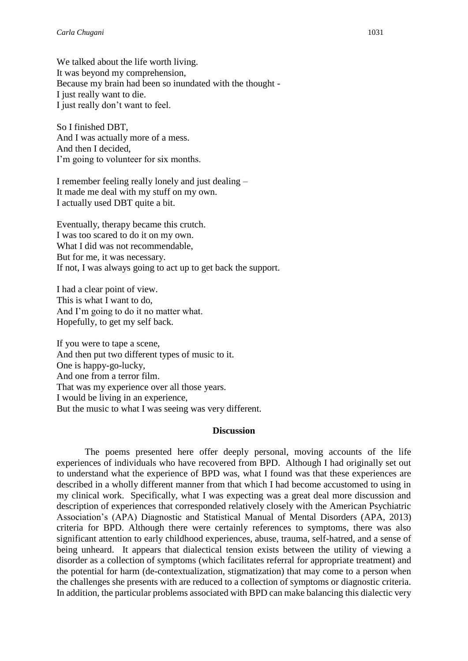We talked about the life worth living. It was beyond my comprehension, Because my brain had been so inundated with the thought - I just really want to die. I just really don't want to feel.

So I finished DBT, And I was actually more of a mess. And then I decided, I'm going to volunteer for six months.

I remember feeling really lonely and just dealing – It made me deal with my stuff on my own. I actually used DBT quite a bit.

Eventually, therapy became this crutch. I was too scared to do it on my own. What I did was not recommendable, But for me, it was necessary. If not, I was always going to act up to get back the support.

I had a clear point of view. This is what I want to do, And I'm going to do it no matter what. Hopefully, to get my self back.

If you were to tape a scene, And then put two different types of music to it. One is happy-go-lucky, And one from a terror film. That was my experience over all those years. I would be living in an experience, But the music to what I was seeing was very different.

#### **Discussion**

The poems presented here offer deeply personal, moving accounts of the life experiences of individuals who have recovered from BPD. Although I had originally set out to understand what the experience of BPD was, what I found was that these experiences are described in a wholly different manner from that which I had become accustomed to using in my clinical work. Specifically, what I was expecting was a great deal more discussion and description of experiences that corresponded relatively closely with the American Psychiatric Association's (APA) Diagnostic and Statistical Manual of Mental Disorders (APA, 2013) criteria for BPD. Although there were certainly references to symptoms, there was also significant attention to early childhood experiences, abuse, trauma, self-hatred, and a sense of being unheard. It appears that dialectical tension exists between the utility of viewing a disorder as a collection of symptoms (which facilitates referral for appropriate treatment) and the potential for harm (de-contextualization, stigmatization) that may come to a person when the challenges she presents with are reduced to a collection of symptoms or diagnostic criteria. In addition, the particular problems associated with BPD can make balancing this dialectic very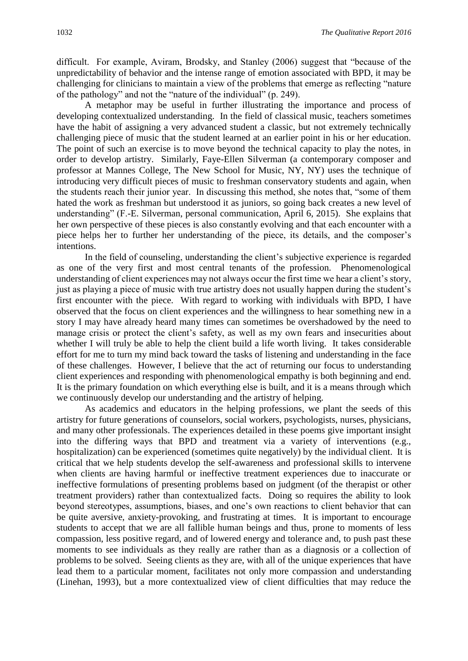difficult. For example, Aviram, Brodsky, and Stanley (2006) suggest that "because of the unpredictability of behavior and the intense range of emotion associated with BPD, it may be challenging for clinicians to maintain a view of the problems that emerge as reflecting "nature of the pathology" and not the "nature of the individual" (p. 249).

A metaphor may be useful in further illustrating the importance and process of developing contextualized understanding. In the field of classical music, teachers sometimes have the habit of assigning a very advanced student a classic, but not extremely technically challenging piece of music that the student learned at an earlier point in his or her education. The point of such an exercise is to move beyond the technical capacity to play the notes, in order to develop artistry. Similarly, Faye-Ellen Silverman (a contemporary composer and professor at Mannes College, The New School for Music, NY, NY) uses the technique of introducing very difficult pieces of music to freshman conservatory students and again, when the students reach their junior year. In discussing this method, she notes that, "some of them hated the work as freshman but understood it as juniors, so going back creates a new level of understanding" (F.-E. Silverman, personal communication, April 6, 2015). She explains that her own perspective of these pieces is also constantly evolving and that each encounter with a piece helps her to further her understanding of the piece, its details, and the composer's intentions.

In the field of counseling, understanding the client's subjective experience is regarded as one of the very first and most central tenants of the profession. Phenomenological understanding of client experiences may not always occur the first time we hear a client's story, just as playing a piece of music with true artistry does not usually happen during the student's first encounter with the piece. With regard to working with individuals with BPD, I have observed that the focus on client experiences and the willingness to hear something new in a story I may have already heard many times can sometimes be overshadowed by the need to manage crisis or protect the client's safety, as well as my own fears and insecurities about whether I will truly be able to help the client build a life worth living. It takes considerable effort for me to turn my mind back toward the tasks of listening and understanding in the face of these challenges. However, I believe that the act of returning our focus to understanding client experiences and responding with phenomenological empathy is both beginning and end. It is the primary foundation on which everything else is built, and it is a means through which we continuously develop our understanding and the artistry of helping.

As academics and educators in the helping professions, we plant the seeds of this artistry for future generations of counselors, social workers, psychologists, nurses, physicians, and many other professionals. The experiences detailed in these poems give important insight into the differing ways that BPD and treatment via a variety of interventions (e.g., hospitalization) can be experienced (sometimes quite negatively) by the individual client. It is critical that we help students develop the self-awareness and professional skills to intervene when clients are having harmful or ineffective treatment experiences due to inaccurate or ineffective formulations of presenting problems based on judgment (of the therapist or other treatment providers) rather than contextualized facts. Doing so requires the ability to look beyond stereotypes, assumptions, biases, and one's own reactions to client behavior that can be quite aversive, anxiety-provoking, and frustrating at times. It is important to encourage students to accept that we are all fallible human beings and thus, prone to moments of less compassion, less positive regard, and of lowered energy and tolerance and, to push past these moments to see individuals as they really are rather than as a diagnosis or a collection of problems to be solved. Seeing clients as they are, with all of the unique experiences that have lead them to a particular moment, facilitates not only more compassion and understanding (Linehan, 1993), but a more contextualized view of client difficulties that may reduce the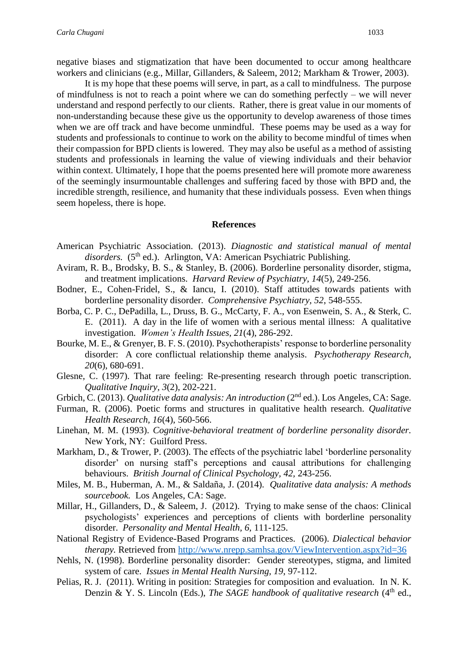negative biases and stigmatization that have been documented to occur among healthcare workers and clinicians (e.g., Millar, Gillanders, & Saleem, 2012; Markham & Trower, 2003).

It is my hope that these poems will serve, in part, as a call to mindfulness. The purpose of mindfulness is not to reach a point where we can do something perfectly – we will never understand and respond perfectly to our clients. Rather, there is great value in our moments of non-understanding because these give us the opportunity to develop awareness of those times when we are off track and have become unmindful. These poems may be used as a way for students and professionals to continue to work on the ability to become mindful of times when their compassion for BPD clients is lowered. They may also be useful as a method of assisting students and professionals in learning the value of viewing individuals and their behavior within context. Ultimately, I hope that the poems presented here will promote more awareness of the seemingly insurmountable challenges and suffering faced by those with BPD and, the incredible strength, resilience, and humanity that these individuals possess. Even when things seem hopeless, there is hope.

#### **References**

- American Psychiatric Association. (2013). *Diagnostic and statistical manual of mental*  disorders. (5<sup>th</sup> ed.). Arlington, VA: American Psychiatric Publishing.
- Aviram, R. B., Brodsky, B. S., & Stanley, B. (2006). Borderline personality disorder, stigma, and treatment implications. *Harvard Review of Psychiatry, 14*(5), 249-256.
- Bodner, E., Cohen-Fridel, S., & Iancu, I. (2010). Staff attitudes towards patients with borderline personality disorder. *Comprehensive Psychiatry, 52*, 548-555.
- Borba, C. P. C., DePadilla, L., Druss, B. G., McCarty, F. A., von Esenwein, S. A., & Sterk, C. E. (2011). A day in the life of women with a serious mental illness: A qualitative investigation. *Women's Health Issues, 21*(4), 286-292.
- Bourke, M. E., & Grenyer, B. F. S. (2010). Psychotherapists' response to borderline personality disorder: A core conflictual relationship theme analysis. *Psychotherapy Research, 20*(6), 680-691.
- Glesne, C. (1997). That rare feeling: Re-presenting research through poetic transcription. *Qualitative Inquiry, 3*(2), 202-221.
- Grbich, C. (2013). *Qualitative data analysis: An introduction* (2nd ed.). Los Angeles, CA: Sage.
- Furman, R. (2006). Poetic forms and structures in qualitative health research. *Qualitative Health Research, 16*(4), 560-566.
- Linehan, M. M. (1993). *Cognitive-behavioral treatment of borderline personality disorder.*  New York, NY: Guilford Press.
- Markham, D., & Trower, P. (2003). The effects of the psychiatric label 'borderline personality disorder' on nursing staff's perceptions and causal attributions for challenging behaviours. *British Journal of Clinical Psychology, 42,* 243-256.
- Miles, M. B., Huberman, A. M., & Saldaña, J. (2014). *Qualitative data analysis: A methods sourcebook.* Los Angeles, CA: Sage.
- Millar, H., Gillanders, D., & Saleem, J. (2012). Trying to make sense of the chaos: Clinical psychologists' experiences and perceptions of clients with borderline personality disorder. *Personality and Mental Health, 6,* 111-125.
- National Registry of Evidence-Based Programs and Practices. (2006). *Dialectical behavior therapy.* Retrieved from<http://www.nrepp.samhsa.gov/ViewIntervention.aspx?id=36>
- Nehls, N. (1998). Borderline personality disorder: Gender stereotypes, stigma, and limited system of care. *Issues in Mental Health Nursing, 19*, 97-112.
- Pelias, R. J. (2011). Writing in position: Strategies for composition and evaluation. In N. K. Denzin & Y. S. Lincoln (Eds.), *The SAGE handbook of qualitative research* (4<sup>th</sup> ed.,